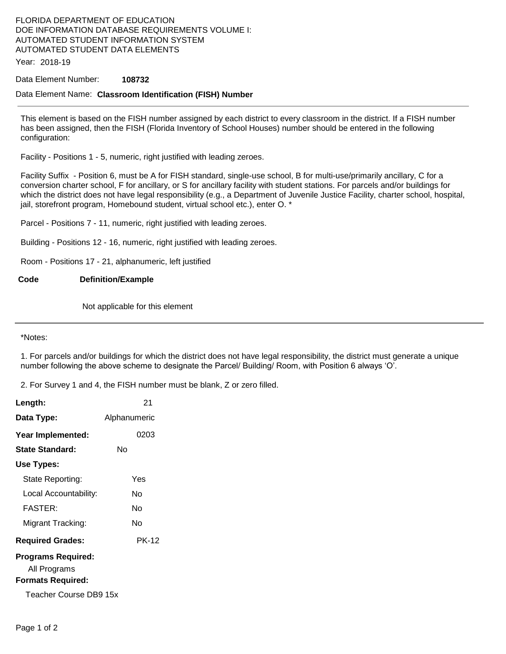## FLORIDA DEPARTMENT OF EDUCATION DOE INFORMATION DATABASE REQUIREMENTS VOLUME I: AUTOMATED STUDENT INFORMATION SYSTEM AUTOMATED STUDENT DATA ELEMENTS

Year: 2018-19

### Data Element Number: **108732**

### Data Element Name: **Classroom Identification (FISH) Number**

This element is based on the FISH number assigned by each district to every classroom in the district. If a FISH number has been assigned, then the FISH (Florida Inventory of School Houses) number should be entered in the following configuration:

Facility - Positions 1 - 5, numeric, right justified with leading zeroes.

Facility Suffix - Position 6, must be A for FISH standard, single-use school, B for multi-use/primarily ancillary, C for a conversion charter school, F for ancillary, or S for ancillary facility with student stations. For parcels and/or buildings for which the district does not have legal responsibility (e.g., a Department of Juvenile Justice Facility, charter school, hospital, jail, storefront program, Homebound student, virtual school etc.), enter O. \*

Parcel - Positions 7 - 11, numeric, right justified with leading zeroes.

Building - Positions 12 - 16, numeric, right justified with leading zeroes.

Room - Positions 17 - 21, alphanumeric, left justified

#### **Code Definition/Example**

Not applicable for this element

\*Notes:

1. For parcels and/or buildings for which the district does not have legal responsibility, the district must generate a unique number following the above scheme to designate the Parcel/ Building/ Room, with Position 6 always 'O'.

2. For Survey 1 and 4, the FISH number must be blank, Z or zero filled.

| Length:                                                               | 21           |
|-----------------------------------------------------------------------|--------------|
| Data Type:                                                            | Alphanumeric |
| Year Implemented:                                                     | 0203         |
| <b>State Standard:</b>                                                | N٥           |
| Use Types:                                                            |              |
| State Reporting:                                                      | Yes          |
| Local Accountability:                                                 | N٥           |
| <b>FASTER:</b>                                                        | N٥           |
| Migrant Tracking:                                                     | N٥           |
| <b>Required Grades:</b>                                               | <b>PK-12</b> |
| <b>Programs Required:</b><br>All Programs<br><b>Formats Required:</b> |              |
| Teacher Course DB9 15x                                                |              |